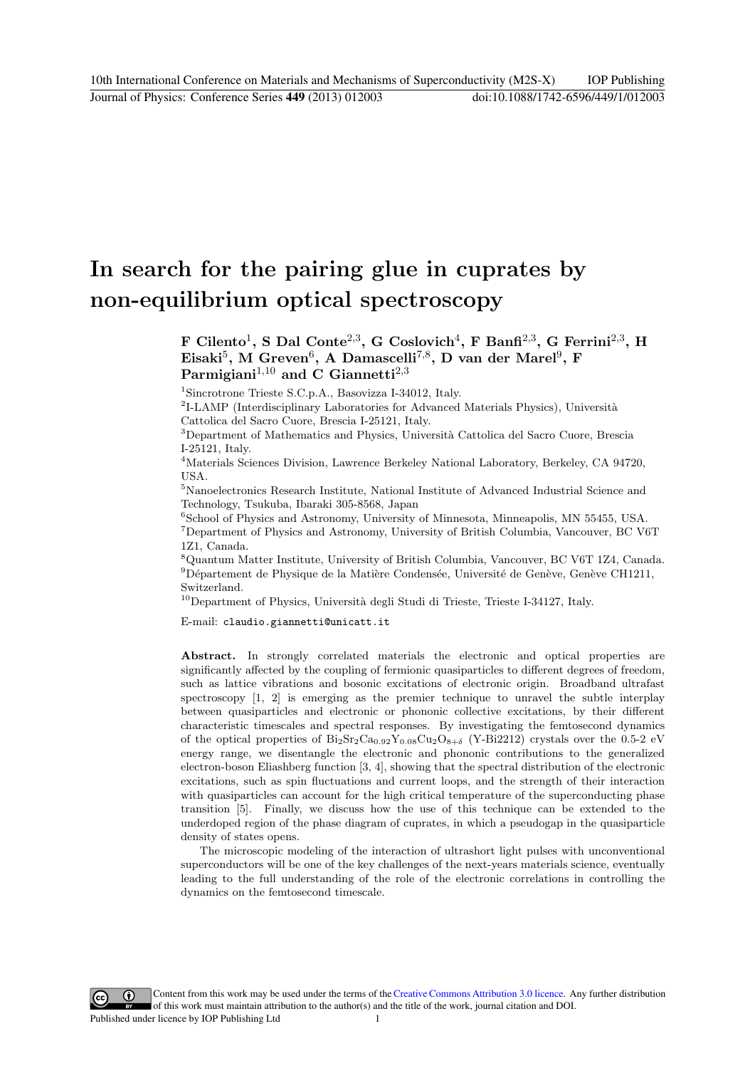# In search for the pairing glue in cuprates by non-equilibrium optical spectroscopy

F Cilento<sup>1</sup>, S Dal Conte<sup>2,3</sup>, G Coslovich<sup>4</sup>, F Banfi<sup>2,3</sup>, G Ferrini<sup>2,3</sup>, H Eisaki<sup>5</sup>, M Greven<sup>6</sup>, A Damascelli<sup>7,8</sup>, D van der Marel<sup>9</sup>, F  $\mathrm{Paramigiani}^{1,10}$  and C Giannetti<sup>2,3</sup>

<sup>1</sup>Sincrotrone Trieste S.C.p.A., Basovizza I-34012, Italy.

 ${}^{2}$ I-LAMP (Interdisciplinary Laboratories for Advanced Materials Physics), Università Cattolica del Sacro Cuore, Brescia I-25121, Italy.

<sup>3</sup>Department of Mathematics and Physics, Università Cattolica del Sacro Cuore, Brescia I-25121, Italy.

<sup>4</sup>Materials Sciences Division, Lawrence Berkeley National Laboratory, Berkeley, CA 94720, USA.

<sup>5</sup>Nanoelectronics Research Institute, National Institute of Advanced Industrial Science and Technology, Tsukuba, Ibaraki 305-8568, Japan

<sup>6</sup>School of Physics and Astronomy, University of Minnesota, Minneapolis, MN 55455, USA.  ${\rm ^7}$  Department of Physics and Astronomy, University of British Columbia, Vancouver, BC V6T 1Z1, Canada.

<sup>8</sup>Quantum Matter Institute, University of British Columbia, Vancouver, BC V6T 1Z4, Canada.  $^9$ Département de Physique de la Matière Condensée, Université de Genève, Genève CH1211, Switzerland.

 $10$ Department of Physics, Università degli Studi di Trieste, Trieste I-34127, Italy.

E-mail: claudio.giannetti@unicatt.it

Abstract. In strongly correlated materials the electronic and optical properties are significantly affected by the coupling of fermionic quasiparticles to different degrees of freedom, such as lattice vibrations and bosonic excitations of electronic origin. Broadband ultrafast spectroscopy [1, 2] is emerging as the premier technique to unravel the subtle interplay between quasiparticles and electronic or phononic collective excitations, by their different characteristic timescales and spectral responses. By investigating the femtosecond dynamics of the optical properties of  $Bi_2Sr_2Ca_{0.92}Y_{0.08}Cu_2O_{8+\delta}$  (Y-Bi2212) crystals over the 0.5-2 eV energy range, we disentangle the electronic and phononic contributions to the generalized electron-boson Eliashberg function [3, 4], showing that the spectral distribution of the electronic excitations, such as spin fluctuations and current loops, and the strength of their interaction with quasiparticles can account for the high critical temperature of the superconducting phase transition [5]. Finally, we discuss how the use of this technique can be extended to the underdoped region of the phase diagram of cuprates, in which a pseudogap in the quasiparticle density of states opens.

The microscopic modeling of the interaction of ultrashort light pulses with unconventional superconductors will be one of the key challenges of the next-years materials science, eventually leading to the full understanding of the role of the electronic correlations in controlling the dynamics on the femtosecond timescale.

Content from this work may be used under the terms of theCreative Commons Attribution 3.0 licence. Any further distribution  $\omega$  $\left(\mathrm{cc}\right)$ of this work must maintain attribution to the author(s) and the title of the work, journal citation and DOI. Published under licence by IOP Publishing Ltd 1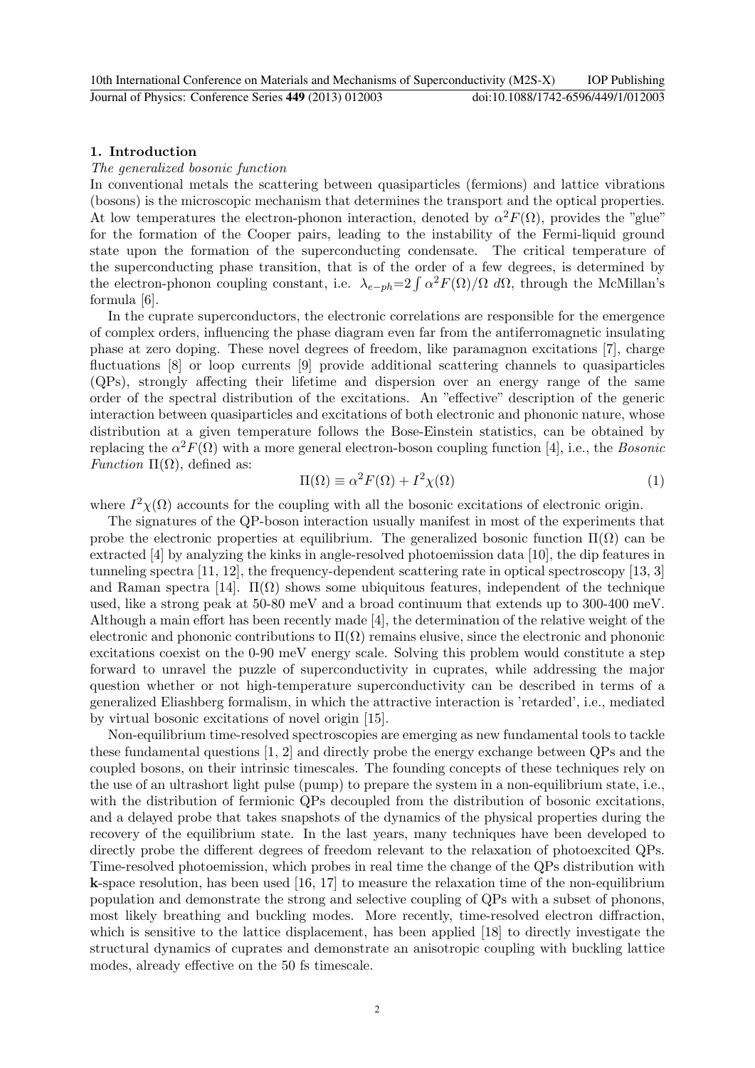## 1. Introduction

#### The generalized bosonic function

In conventional metals the scattering between quasiparticles (fermions) and lattice vibrations (bosons) is the microscopic mechanism that determines the transport and the optical properties. At low temperatures the electron-phonon interaction, denoted by  $\alpha^2 F(\Omega)$ , provides the "glue" for the formation of the Cooper pairs, leading to the instability of the Fermi-liquid ground state upon the formation of the superconducting condensate. The critical temperature of the superconducting phase transition, that is of the order of a few degrees, is determined by the electron-phonon coupling constant, i.e.  $\lambda_{e-ph} = 2 \int \alpha^2 F(\Omega)/\Omega \, d\Omega$ , through the McMillan's formula [6].

In the cuprate superconductors, the electronic correlations are responsible for the emergence of complex orders, influencing the phase diagram even far from the antiferromagnetic insulating phase at zero doping. These novel degrees of freedom, like paramagnon excitations [7], charge fluctuations [8] or loop currents [9] provide additional scattering channels to quasiparticles (QPs), strongly affecting their lifetime and dispersion over an energy range of the same order of the spectral distribution of the excitations. An "effective" description of the generic interaction between quasiparticles and excitations of both electronic and phononic nature, whose distribution at a given temperature follows the Bose-Einstein statistics, can be obtained by replacing the  $\alpha^2 F(\Omega)$  with a more general electron-boson coupling function [4], i.e., the *Bosonic* Function  $\Pi(\Omega)$ , defined as:

$$
\Pi(\Omega) \equiv \alpha^2 F(\Omega) + I^2 \chi(\Omega) \tag{1}
$$

where  $I^2\chi(\Omega)$  accounts for the coupling with all the bosonic excitations of electronic origin.

The signatures of the QP-boson interaction usually manifest in most of the experiments that probe the electronic properties at equilibrium. The generalized bosonic function  $\Pi(\Omega)$  can be extracted [4] by analyzing the kinks in angle-resolved photoemission data [10], the dip features in tunneling spectra [11, 12], the frequency-dependent scattering rate in optical spectroscopy [13, 3] and Raman spectra [14].  $\Pi(\Omega)$  shows some ubiquitous features, independent of the technique used, like a strong peak at 50-80 meV and a broad continuum that extends up to 300-400 meV. Although a main effort has been recently made [4], the determination of the relative weight of the electronic and phononic contributions to  $\Pi(\Omega)$  remains elusive, since the electronic and phononic excitations coexist on the 0-90 meV energy scale. Solving this problem would constitute a step forward to unravel the puzzle of superconductivity in cuprates, while addressing the major question whether or not high-temperature superconductivity can be described in terms of a generalized Eliashberg formalism, in which the attractive interaction is 'retarded', i.e., mediated by virtual bosonic excitations of novel origin [15].

Non-equilibrium time-resolved spectroscopies are emerging as new fundamental tools to tackle these fundamental questions [1, 2] and directly probe the energy exchange between QPs and the coupled bosons, on their intrinsic timescales. The founding concepts of these techniques rely on the use of an ultrashort light pulse (pump) to prepare the system in a non-equilibrium state, i.e., with the distribution of fermionic QPs decoupled from the distribution of bosonic excitations, and a delayed probe that takes snapshots of the dynamics of the physical properties during the recovery of the equilibrium state. In the last years, many techniques have been developed to directly probe the different degrees of freedom relevant to the relaxation of photoexcited QPs. Time-resolved photoemission, which probes in real time the change of the QPs distribution with k-space resolution, has been used [16, 17] to measure the relaxation time of the non-equilibrium population and demonstrate the strong and selective coupling of QPs with a subset of phonons, most likely breathing and buckling modes. More recently, time-resolved electron diffraction, which is sensitive to the lattice displacement, has been applied [18] to directly investigate the structural dynamics of cuprates and demonstrate an anisotropic coupling with buckling lattice modes, already effective on the 50 fs timescale.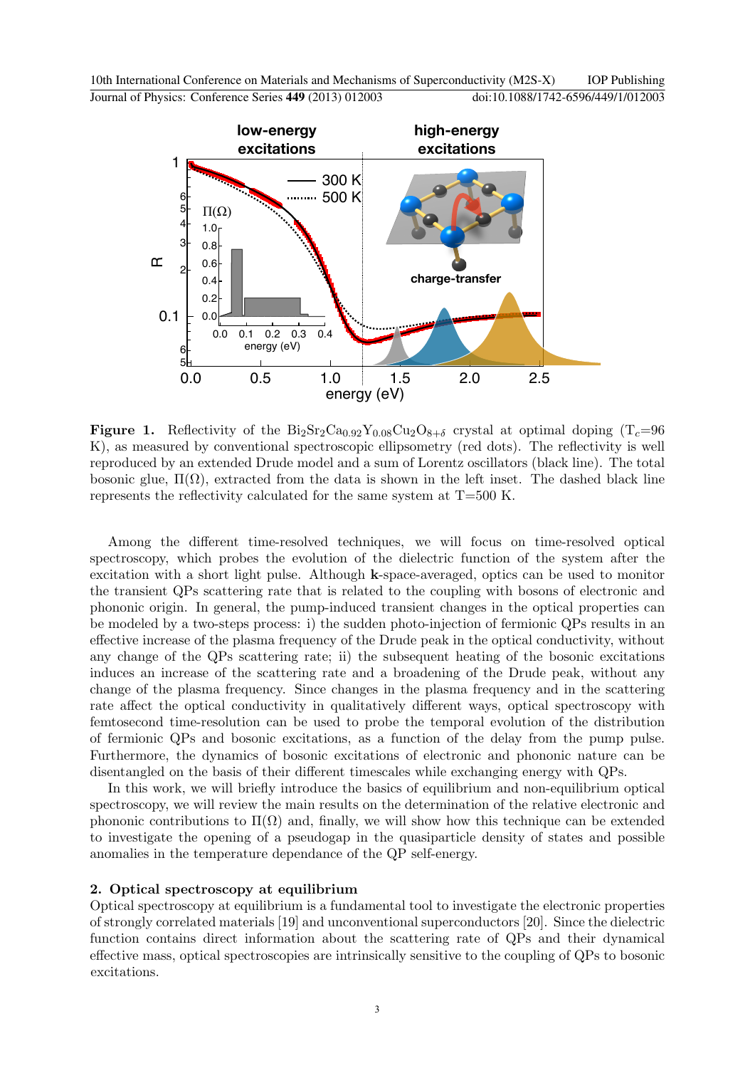

**Figure 1.** Reflectivity of the  $Bi_2Sr_2Ca_{0.92}Y_{0.08}Cu_2O_{8+\delta}$  crystal at optimal doping  $(T_c=96$ K), as measured by conventional spectroscopic ellipsometry (red dots). The reflectivity is well reproduced by an extended Drude model and a sum of Lorentz oscillators (black line). The total bosonic glue,  $\Pi(\Omega)$ , extracted from the data is shown in the left inset. The dashed black line represents the reflectivity calculated for the same system at T=500 K.

Among the different time-resolved techniques, we will focus on time-resolved optical spectroscopy, which probes the evolution of the dielectric function of the system after the excitation with a short light pulse. Although k-space-averaged, optics can be used to monitor the transient QPs scattering rate that is related to the coupling with bosons of electronic and phononic origin. In general, the pump-induced transient changes in the optical properties can be modeled by a two-steps process: i) the sudden photo-injection of fermionic QPs results in an effective increase of the plasma frequency of the Drude peak in the optical conductivity, without any change of the QPs scattering rate; ii) the subsequent heating of the bosonic excitations induces an increase of the scattering rate and a broadening of the Drude peak, without any change of the plasma frequency. Since changes in the plasma frequency and in the scattering rate affect the optical conductivity in qualitatively different ways, optical spectroscopy with femtosecond time-resolution can be used to probe the temporal evolution of the distribution of fermionic QPs and bosonic excitations, as a function of the delay from the pump pulse. Furthermore, the dynamics of bosonic excitations of electronic and phononic nature can be disentangled on the basis of their different timescales while exchanging energy with QPs.

In this work, we will briefly introduce the basics of equilibrium and non-equilibrium optical spectroscopy, we will review the main results on the determination of the relative electronic and phononic contributions to  $\Pi(\Omega)$  and, finally, we will show how this technique can be extended to investigate the opening of a pseudogap in the quasiparticle density of states and possible anomalies in the temperature dependance of the QP self-energy.

## 2. Optical spectroscopy at equilibrium

Optical spectroscopy at equilibrium is a fundamental tool to investigate the electronic properties of strongly correlated materials [19] and unconventional superconductors [20]. Since the dielectric function contains direct information about the scattering rate of QPs and their dynamical effective mass, optical spectroscopies are intrinsically sensitive to the coupling of QPs to bosonic excitations.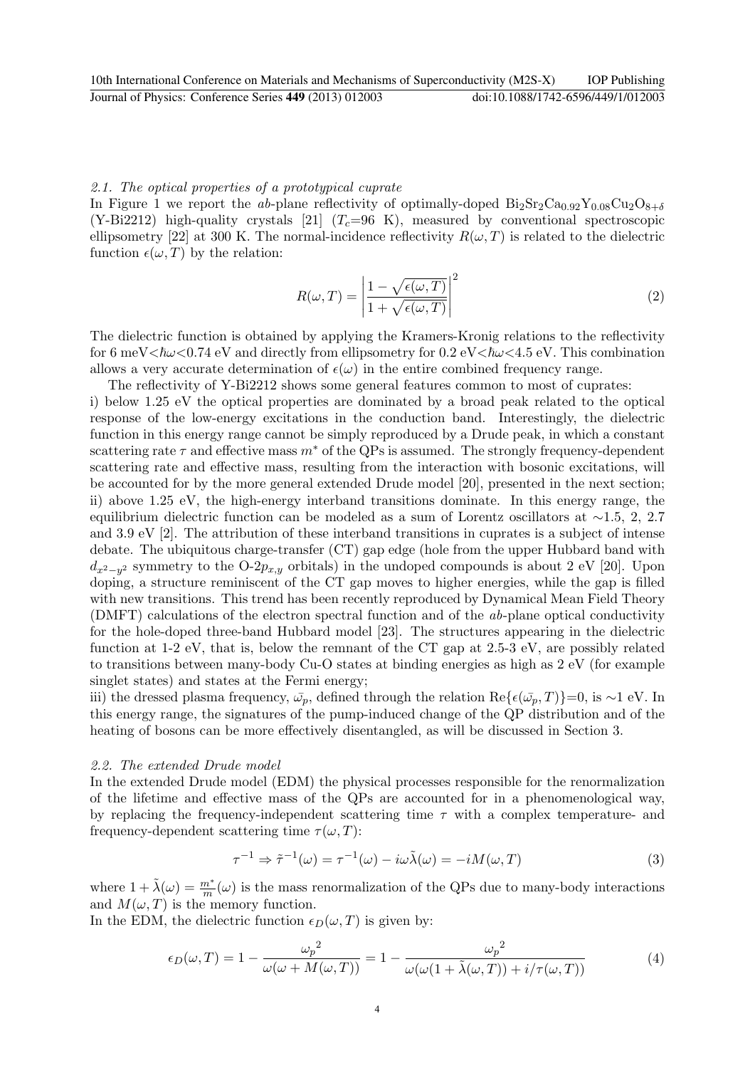## 2.1. The optical properties of a prototypical cuprate

In Figure 1 we report the ab-plane reflectivity of optimally-doped  $Bi_2Sr_2Ca_{0.92}Y_{0.08}Cu_2O_{8+\delta}$ (Y-Bi2212) high-quality crystals [21]  $(T<sub>c</sub>=96 K)$ , measured by conventional spectroscopic ellipsometry [22] at 300 K. The normal-incidence reflectivity  $R(\omega, T)$  is related to the dielectric function  $\epsilon(\omega, T)$  by the relation:

$$
R(\omega, T) = \left| \frac{1 - \sqrt{\epsilon(\omega, T)}}{1 + \sqrt{\epsilon(\omega, T)}} \right|^2 \tag{2}
$$

The dielectric function is obtained by applying the Kramers-Kronig relations to the reflectivity for 6 meV $\langle \hbar \omega \langle 0.74 \text{ eV} \rangle$  and directly from ellipsometry for 0.2 eV $\langle \hbar \omega \langle 4.5 \text{ eV} \rangle$ . This combination allows a very accurate determination of  $\epsilon(\omega)$  in the entire combined frequency range.

The reflectivity of Y-Bi2212 shows some general features common to most of cuprates:

i) below 1.25 eV the optical properties are dominated by a broad peak related to the optical response of the low-energy excitations in the conduction band. Interestingly, the dielectric function in this energy range cannot be simply reproduced by a Drude peak, in which a constant scattering rate  $\tau$  and effective mass  $m^*$  of the QPs is assumed. The strongly frequency-dependent scattering rate and effective mass, resulting from the interaction with bosonic excitations, will be accounted for by the more general extended Drude model [20], presented in the next section; ii) above 1.25 eV, the high-energy interband transitions dominate. In this energy range, the equilibrium dielectric function can be modeled as a sum of Lorentz oscillators at ∼1.5, 2, 2.7 and 3.9 eV [2]. The attribution of these interband transitions in cuprates is a subject of intense debate. The ubiquitous charge-transfer (CT) gap edge (hole from the upper Hubbard band with  $d_{x^2-y^2}$  symmetry to the O-2 $p_{x,y}$  orbitals) in the undoped compounds is about 2 eV [20]. Upon doping, a structure reminiscent of the CT gap moves to higher energies, while the gap is filled with new transitions. This trend has been recently reproduced by Dynamical Mean Field Theory (DMFT) calculations of the electron spectral function and of the ab-plane optical conductivity for the hole-doped three-band Hubbard model [23]. The structures appearing in the dielectric function at 1-2 eV, that is, below the remnant of the CT gap at 2.5-3 eV, are possibly related to transitions between many-body Cu-O states at binding energies as high as 2 eV (for example singlet states) and states at the Fermi energy;

iii) the dressed plasma frequency,  $\bar{\omega}_p$ , defined through the relation Re{ $\epsilon(\bar{\omega_p}, T)$ }=0, is ∼1 eV. In this energy range, the signatures of the pump-induced change of the QP distribution and of the heating of bosons can be more effectively disentangled, as will be discussed in Section 3.

#### 2.2. The extended Drude model

In the extended Drude model (EDM) the physical processes responsible for the renormalization of the lifetime and effective mass of the QPs are accounted for in a phenomenological way, by replacing the frequency-independent scattering time  $\tau$  with a complex temperature- and frequency-dependent scattering time  $\tau(\omega, T)$ :

$$
\tau^{-1} \Rightarrow \tilde{\tau}^{-1}(\omega) = \tau^{-1}(\omega) - i\omega \tilde{\lambda}(\omega) = -iM(\omega, T) \tag{3}
$$

where  $1 + \tilde{\lambda}(\omega) = \frac{m^*}{m}(\omega)$  is the mass renormalization of the QPs due to many-body interactions and  $M(\omega, T)$  is the memory function.

In the EDM, the dielectric function  $\epsilon_D(\omega, T)$  is given by:

$$
\epsilon_D(\omega, T) = 1 - \frac{\omega_p^2}{\omega(\omega + M(\omega, T))} = 1 - \frac{\omega_p^2}{\omega(\omega(1 + \tilde{\lambda}(\omega, T)) + i/\tau(\omega, T))}
$$
(4)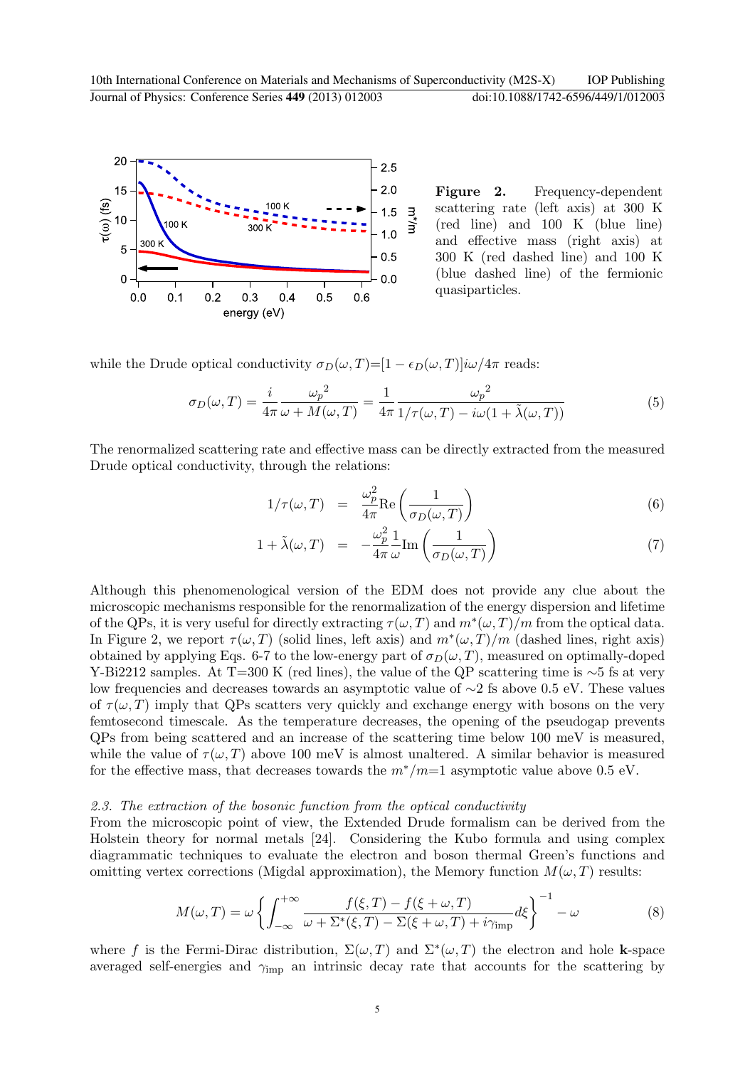

Figure 2. Frequency-dependent scattering rate (left axis) at 300 K (red line) and 100 K (blue line) and effective mass (right axis) at 300 K (red dashed line) and 100 K (blue dashed line) of the fermionic quasiparticles.

while the Drude optical conductivity  $\sigma_D(\omega, T)=[1 - \epsilon_D(\omega, T)]i\omega/4\pi$  reads:

$$
\sigma_D(\omega, T) = \frac{i}{4\pi} \frac{\omega_p^2}{\omega + M(\omega, T)} = \frac{1}{4\pi} \frac{\omega_p^2}{1/\tau(\omega, T) - i\omega(1 + \tilde{\lambda}(\omega, T))}
$$
(5)

The renormalized scattering rate and effective mass can be directly extracted from the measured Drude optical conductivity, through the relations:

$$
1/\tau(\omega, T) = \frac{\omega_p^2}{4\pi} \text{Re}\left(\frac{1}{\sigma_D(\omega, T)}\right)
$$
\n(6)

$$
1 + \tilde{\lambda}(\omega, T) = -\frac{\omega_p^2}{4\pi} \frac{1}{\omega} \text{Im}\left(\frac{1}{\sigma_D(\omega, T)}\right) \tag{7}
$$

Although this phenomenological version of the EDM does not provide any clue about the microscopic mechanisms responsible for the renormalization of the energy dispersion and lifetime of the QPs, it is very useful for directly extracting  $\tau(\omega, T)$  and  $m^*(\omega, T)/m$  from the optical data. In Figure 2, we report  $\tau(\omega, T)$  (solid lines, left axis) and  $m^*(\omega, T)/m$  (dashed lines, right axis) obtained by applying Eqs. 6-7 to the low-energy part of  $\sigma_D(\omega, T)$ , measured on optimally-doped Y-Bi2212 samples. At T=300 K (red lines), the value of the QP scattering time is  $\sim$ 5 fs at very low frequencies and decreases towards an asymptotic value of ∼2 fs above 0.5 eV. These values of  $\tau(\omega, T)$  imply that QPs scatters very quickly and exchange energy with bosons on the very femtosecond timescale. As the temperature decreases, the opening of the pseudogap prevents QPs from being scattered and an increase of the scattering time below 100 meV is measured, while the value of  $\tau(\omega, T)$  above 100 meV is almost unaltered. A similar behavior is measured for the effective mass, that decreases towards the  $m^*/m=1$  asymptotic value above 0.5 eV.

## 2.3. The extraction of the bosonic function from the optical conductivity

From the microscopic point of view, the Extended Drude formalism can be derived from the Holstein theory for normal metals [24]. Considering the Kubo formula and using complex diagrammatic techniques to evaluate the electron and boson thermal Green's functions and omitting vertex corrections (Migdal approximation), the Memory function  $M(\omega, T)$  results:

$$
M(\omega, T) = \omega \left\{ \int_{-\infty}^{+\infty} \frac{f(\xi, T) - f(\xi + \omega, T)}{\omega + \Sigma^*(\xi, T) - \Sigma(\xi + \omega, T) + i\gamma_{\text{imp}}} d\xi \right\}^{-1} - \omega \tag{8}
$$

where f is the Fermi-Dirac distribution,  $\Sigma(\omega, T)$  and  $\Sigma^*(\omega, T)$  the electron and hole k-space averaged self-energies and  $\gamma_{\rm imp}$  an intrinsic decay rate that accounts for the scattering by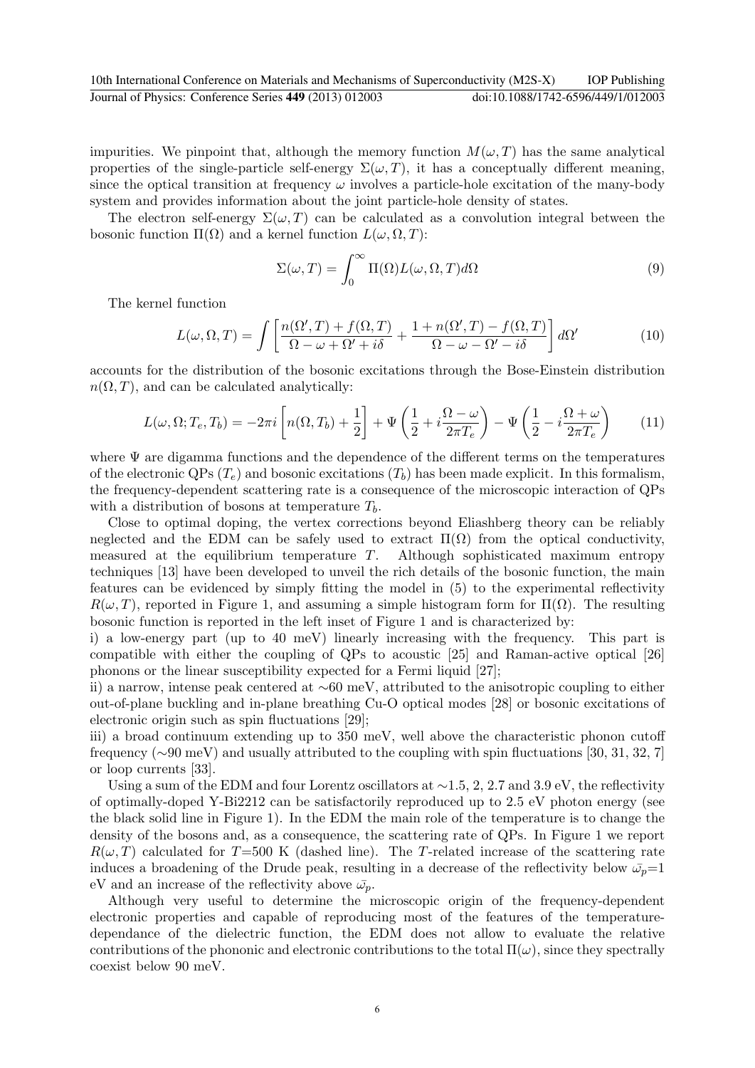impurities. We pinpoint that, although the memory function  $M(\omega, T)$  has the same analytical properties of the single-particle self-energy  $\Sigma(\omega, T)$ , it has a conceptually different meaning, since the optical transition at frequency  $\omega$  involves a particle-hole excitation of the many-body system and provides information about the joint particle-hole density of states.

The electron self-energy  $\Sigma(\omega, T)$  can be calculated as a convolution integral between the bosonic function  $\Pi(\Omega)$  and a kernel function  $L(\omega, \Omega, T)$ :

$$
\Sigma(\omega, T) = \int_0^\infty \Pi(\Omega) L(\omega, \Omega, T) d\Omega \tag{9}
$$

The kernel function

$$
L(\omega, \Omega, T) = \int \left[ \frac{n(\Omega', T) + f(\Omega, T)}{\Omega - \omega + \Omega' + i\delta} + \frac{1 + n(\Omega', T) - f(\Omega, T)}{\Omega - \omega - \Omega' - i\delta} \right] d\Omega'
$$
(10)

accounts for the distribution of the bosonic excitations through the Bose-Einstein distribution  $n(\Omega, T)$ , and can be calculated analytically:

$$
L(\omega, \Omega; T_e, T_b) = -2\pi i \left[ n(\Omega, T_b) + \frac{1}{2} \right] + \Psi \left( \frac{1}{2} + i \frac{\Omega - \omega}{2\pi T_e} \right) - \Psi \left( \frac{1}{2} - i \frac{\Omega + \omega}{2\pi T_e} \right) \tag{11}
$$

where  $\Psi$  are digamma functions and the dependence of the different terms on the temperatures of the electronic QPs  $(T_e)$  and bosonic excitations  $(T_b)$  has been made explicit. In this formalism, the frequency-dependent scattering rate is a consequence of the microscopic interaction of QPs with a distribution of bosons at temperature  $T<sub>b</sub>$ .

Close to optimal doping, the vertex corrections beyond Eliashberg theory can be reliably neglected and the EDM can be safely used to extract  $\Pi(\Omega)$  from the optical conductivity, measured at the equilibrium temperature T. Although sophisticated maximum entropy techniques [13] have been developed to unveil the rich details of the bosonic function, the main features can be evidenced by simply fitting the model in (5) to the experimental reflectivity  $R(\omega, T)$ , reported in Figure 1, and assuming a simple histogram form for  $\Pi(\Omega)$ . The resulting bosonic function is reported in the left inset of Figure 1 and is characterized by:

i) a low-energy part (up to 40 meV) linearly increasing with the frequency. This part is compatible with either the coupling of QPs to acoustic [25] and Raman-active optical [26] phonons or the linear susceptibility expected for a Fermi liquid [27];

ii) a narrow, intense peak centered at ∼60 meV, attributed to the anisotropic coupling to either out-of-plane buckling and in-plane breathing Cu-O optical modes [28] or bosonic excitations of electronic origin such as spin fluctuations [29];

iii) a broad continuum extending up to 350 meV, well above the characteristic phonon cutoff frequency (∼90 meV) and usually attributed to the coupling with spin fluctuations [30, 31, 32, 7] or loop currents [33].

Using a sum of the EDM and four Lorentz oscillators at ~1.5, 2, 2.7 and 3.9 eV, the reflectivity of optimally-doped Y-Bi2212 can be satisfactorily reproduced up to 2.5 eV photon energy (see the black solid line in Figure 1). In the EDM the main role of the temperature is to change the density of the bosons and, as a consequence, the scattering rate of QPs. In Figure 1 we report  $R(\omega, T)$  calculated for T=500 K (dashed line). The T-related increase of the scattering rate induces a broadening of the Drude peak, resulting in a decrease of the reflectivity below  $\bar{\omega}_p=1$ eV and an increase of the reflectivity above  $\bar{\omega}_p$ .

Although very useful to determine the microscopic origin of the frequency-dependent electronic properties and capable of reproducing most of the features of the temperaturedependance of the dielectric function, the EDM does not allow to evaluate the relative contributions of the phononic and electronic contributions to the total  $\Pi(\omega)$ , since they spectrally coexist below 90 meV.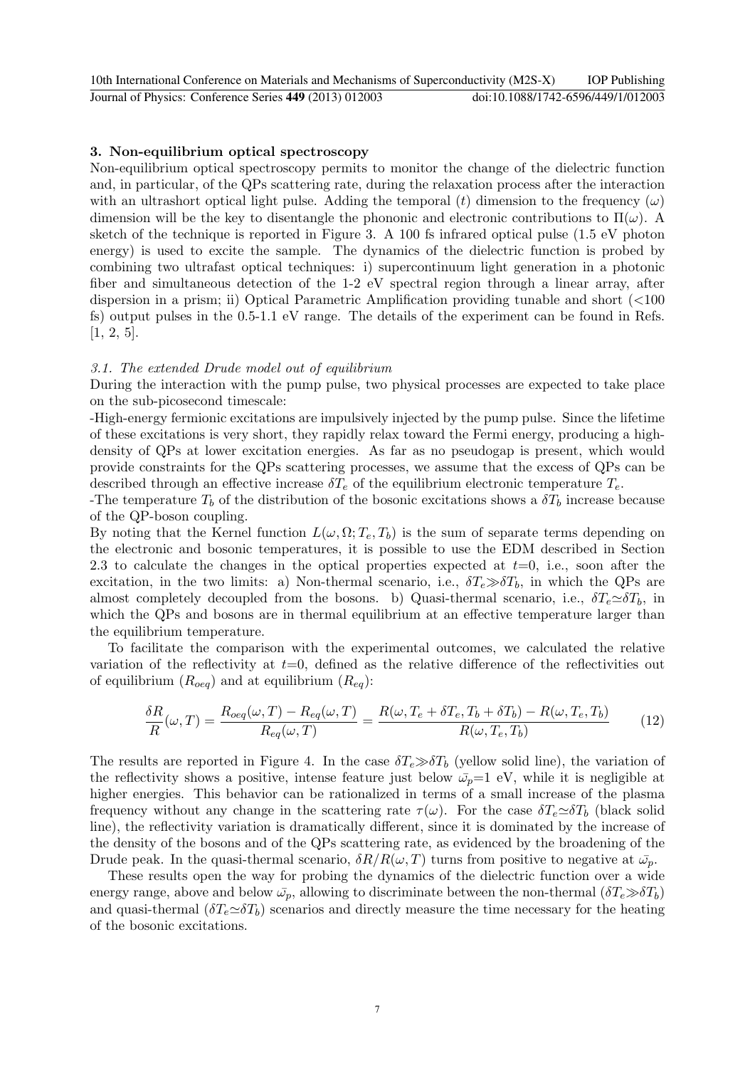## 3. Non-equilibrium optical spectroscopy

Non-equilibrium optical spectroscopy permits to monitor the change of the dielectric function and, in particular, of the QPs scattering rate, during the relaxation process after the interaction with an ultrashort optical light pulse. Adding the temporal (t) dimension to the frequency  $(\omega)$ dimension will be the key to disentangle the phononic and electronic contributions to  $\Pi(\omega)$ . sketch of the technique is reported in Figure 3. A 100 fs infrared optical pulse (1.5 eV photon energy) is used to excite the sample. The dynamics of the dielectric function is probed by combining two ultrafast optical techniques: i) supercontinuum light generation in a photonic fiber and simultaneous detection of the 1-2 eV spectral region through a linear array, after dispersion in a prism; ii) Optical Parametric Amplification providing tunable and short (<100 fs) output pulses in the 0.5-1.1 eV range. The details of the experiment can be found in Refs.  $[1, 2, 5].$ 

## 3.1. The extended Drude model out of equilibrium

During the interaction with the pump pulse, two physical processes are expected to take place on the sub-picosecond timescale:

-High-energy fermionic excitations are impulsively injected by the pump pulse. Since the lifetime of these excitations is very short, they rapidly relax toward the Fermi energy, producing a highdensity of QPs at lower excitation energies. As far as no pseudogap is present, which would provide constraints for the QPs scattering processes, we assume that the excess of QPs can be described through an effective increase  $\delta T_e$  of the equilibrium electronic temperature  $T_e$ .

-The temperature  $T_b$  of the distribution of the bosonic excitations shows a  $\delta T_b$  increase because of the QP-boson coupling.

By noting that the Kernel function  $L(\omega, \Omega; T_e, T_b)$  is the sum of separate terms depending on the electronic and bosonic temperatures, it is possible to use the EDM described in Section 2.3 to calculate the changes in the optical properties expected at  $t=0$ , i.e., soon after the excitation, in the two limits: a) Non-thermal scenario, i.e.,  $\delta T_e \gg \delta T_b$ , in which the QPs are almost completely decoupled from the bosons. b) Quasi-thermal scenario, i.e.,  $\delta T_e \simeq \delta T_b$ , in which the QPs and bosons are in thermal equilibrium at an effective temperature larger than the equilibrium temperature.

To facilitate the comparison with the experimental outcomes, we calculated the relative variation of the reflectivity at  $t=0$ , defined as the relative difference of the reflectivities out of equilibrium  $(R_{oeq})$  and at equilibrium  $(R_{eq})$ :

$$
\frac{\delta R}{R}(\omega, T) = \frac{R_{oeq}(\omega, T) - R_{eq}(\omega, T)}{R_{eq}(\omega, T)} = \frac{R(\omega, T_e + \delta T_e, T_b + \delta T_b) - R(\omega, T_e, T_b)}{R(\omega, T_e, T_b)}\tag{12}
$$

The results are reported in Figure 4. In the case  $\delta T_e \gg \delta T_b$  (yellow solid line), the variation of the reflectivity shows a positive, intense feature just below  $\bar{\omega}_p=1$  eV, while it is negligible at higher energies. This behavior can be rationalized in terms of a small increase of the plasma frequency without any change in the scattering rate  $\tau(\omega)$ . For the case  $\delta T_e \simeq \delta T_b$  (black solid line), the reflectivity variation is dramatically different, since it is dominated by the increase of the density of the bosons and of the QPs scattering rate, as evidenced by the broadening of the Drude peak. In the quasi-thermal scenario,  $\delta R/R(\omega, T)$  turns from positive to negative at  $\bar{\omega}_p$ .

These results open the way for probing the dynamics of the dielectric function over a wide energy range, above and below  $\bar{\omega}_p$ , allowing to discriminate between the non-thermal  $(\delta T_e \gg \delta T_b)$ and quasi-thermal  $(\delta T_e \simeq \delta T_b)$  scenarios and directly measure the time necessary for the heating of the bosonic excitations.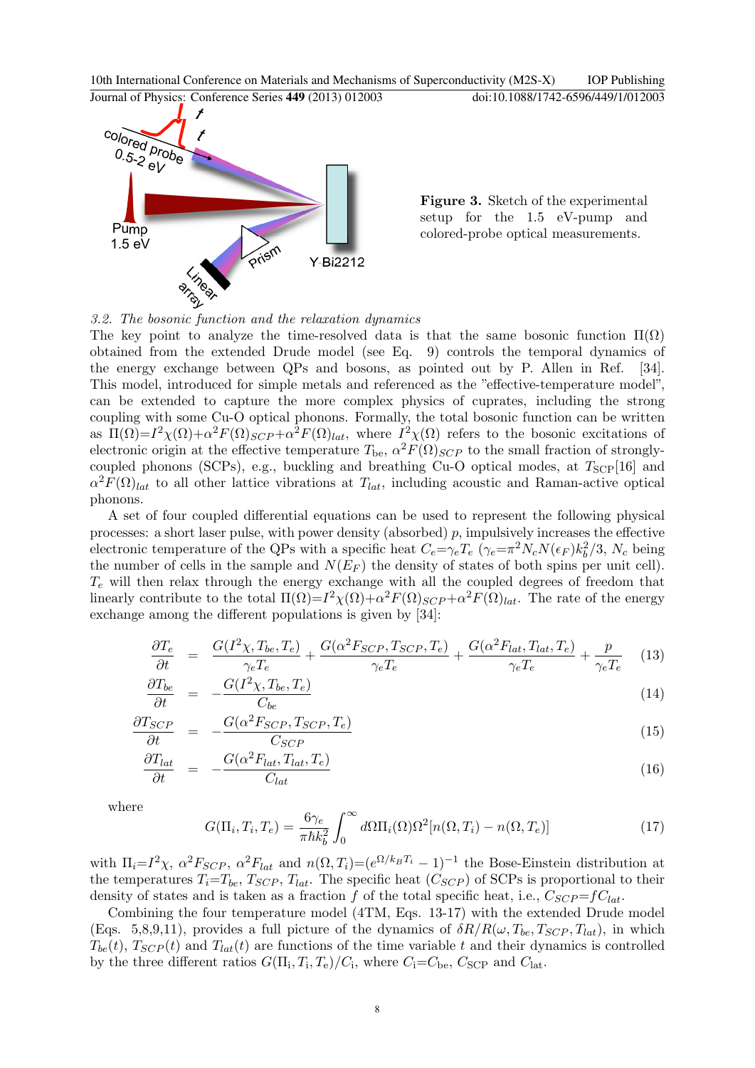

Figure 3. Sketch of the experimental setup for the 1.5 eV-pump and colored-probe optical measurements.

3.2. The bosonic function and the relaxation dynamics

The key point to analyze the time-resolved data is that the same bosonic function  $\Pi(\Omega)$ obtained from the extended Drude model (see Eq. 9) controls the temporal dynamics of the energy exchange between QPs and bosons, as pointed out by P. Allen in Ref. [34]. This model, introduced for simple metals and referenced as the "effective-temperature model", can be extended to capture the more complex physics of cuprates, including the strong coupling with some Cu-O optical phonons. Formally, the total bosonic function can be written as  $\Pi(\Omega) = I^2 \chi(\Omega) + \alpha^2 F(\Omega)_{SCP} + \alpha^2 F(\Omega)_{lat}$ , where  $I^2 \chi(\Omega)$  refers to the bosonic excitations of electronic origin at the effective temperature  $T_{be}$ ,  $\alpha^2 F(\Omega)_{SCP}$  to the small fraction of stronglycoupled phonons (SCPs), e.g., buckling and breathing Cu-O optical modes, at  $T_{\rm{SCP}}[16]$  and  $\alpha^2 F(\Omega)_{lat}$  to all other lattice vibrations at  $T_{lat}$ , including acoustic and Raman-active optical phonons.

A set of four coupled differential equations can be used to represent the following physical processes: a short laser pulse, with power density (absorbed)  $p$ , impulsively increases the effective electronic temperature of the QPs with a specific heat  $C_e = \gamma_e T_e \ (\gamma_e = \pi^2 N_c N(\epsilon_F) k_b^2/3, N_c$  being the number of cells in the sample and  $N(E_F)$  the density of states of both spins per unit cell).  $T_e$  will then relax through the energy exchange with all the coupled degrees of freedom that linearly contribute to the total  $\Pi(\Omega) = I^2 \chi(\Omega) + \alpha^2 F(\Omega)_{SCP} + \alpha^2 F(\Omega)_{lat}$ . The rate of the energy exchange among the different populations is given by [34]:

$$
\frac{\partial T_e}{\partial t} = \frac{G(I^2 \chi, T_{be}, T_e)}{\gamma_e T_e} + \frac{G(\alpha^2 F_{SCP}, T_{SCP}, T_e)}{\gamma_e T_e} + \frac{G(\alpha^2 F_{lat}, T_{lat}, T_e)}{\gamma_e T_e} + \frac{p}{\gamma_e T_e} \tag{13}
$$

$$
\frac{\partial T_{be}}{\partial t} = -\frac{G(I^2 \chi, T_{be}, T_e)}{C_{be}} \tag{14}
$$

$$
\frac{\partial T_{SCP}}{\partial t} = -\frac{G(\alpha^2 F_{SCP}, T_{SCP}, T_e)}{C_{SCP}} \tag{15}
$$

$$
\frac{\partial T_{lat}}{\partial t} = -\frac{G(\alpha^2 F_{lat}, T_{lat}, T_e)}{C_{lat}} \tag{16}
$$

where

$$
G(\Pi_i, T_i, T_e) = \frac{6\gamma_e}{\pi\hbar k_b^2} \int_0^\infty d\Omega \Pi_i(\Omega) \Omega^2[n(\Omega, T_i) - n(\Omega, T_e)] \tag{17}
$$

with  $\Pi_i = I^2 \chi$ ,  $\alpha^2 F_{SCP}$ ,  $\alpha^2 F_{lat}$  and  $n(\Omega, T_i) = (e^{\Omega/k_B T_i} - 1)^{-1}$  the Bose-Einstein distribution at the temperatures  $T_i=T_{be}$ ,  $T_{SCP}$ ,  $T_{lat}$ . The specific heat  $(C_{SCP})$  of SCPs is proportional to their density of states and is taken as a fraction f of the total specific heat, i.e.,  $C_{SCP}=fC_{lat}$ .

Combining the four temperature model (4TM, Eqs. 13-17) with the extended Drude model (Eqs. 5,8,9,11), provides a full picture of the dynamics of  $\delta R/R(\omega, T_{be}, T_{SCP}, T_{lat})$ , in which  $T_{be}(t)$ ,  $T_{SCP}(t)$  and  $T_{lat}(t)$  are functions of the time variable t and their dynamics is controlled by the three different ratios  $G(\Pi_i, T_i, T_e)/C_i$ , where  $C_i = C_{\text{be}}$ ,  $C_{\text{SCP}}$  and  $C_{\text{lat}}$ .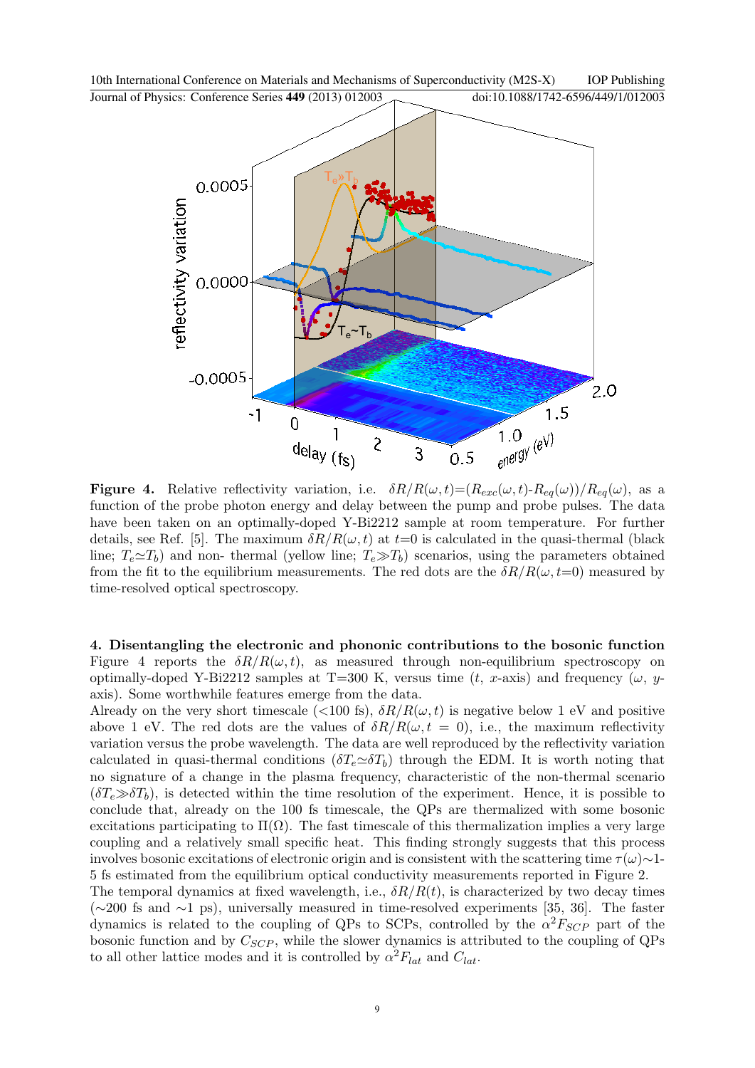

**Figure 4.** Relative reflectivity variation, i.e.  $\delta R/R(\omega, t) = (R_{exc}(\omega, t) - R_{eq}(\omega))/R_{eq}(\omega)$ , as a function of the probe photon energy and delay between the pump and probe pulses. The data have been taken on an optimally-doped Y-Bi2212 sample at room temperature. For further details, see Ref. [5]. The maximum  $\delta R/R(\omega, t)$  at  $t=0$  is calculated in the quasi-thermal (black line;  $T_e \simeq T_b$ ) and non- thermal (yellow line;  $T_e \gg T_b$ ) scenarios, using the parameters obtained from the fit to the equilibrium measurements. The red dots are the  $\delta R/R(\omega, t=0)$  measured by time-resolved optical spectroscopy.

4. Disentangling the electronic and phononic contributions to the bosonic function Figure 4 reports the  $\delta R/R(\omega, t)$ , as measured through non-equilibrium spectroscopy on optimally-doped Y-Bi2212 samples at T=300 K, versus time (t, x-axis) and frequency ( $\omega$ , yaxis). Some worthwhile features emerge from the data.

Already on the very short timescale ( $\langle 100 \text{ fs} \rangle$ ,  $\delta R/R(\omega, t)$  is negative below 1 eV and positive above 1 eV. The red dots are the values of  $\delta R/R(\omega, t = 0)$ , i.e., the maximum reflectivity variation versus the probe wavelength. The data are well reproduced by the reflectivity variation calculated in quasi-thermal conditions  $(\delta T_e \simeq \delta T_b)$  through the EDM. It is worth noting that no signature of a change in the plasma frequency, characteristic of the non-thermal scenario  $(\delta T_e \gg \delta T_b)$ , is detected within the time resolution of the experiment. Hence, it is possible to conclude that, already on the 100 fs timescale, the QPs are thermalized with some bosonic excitations participating to  $\Pi(\Omega)$ . The fast timescale of this thermalization implies a very large coupling and a relatively small specific heat. This finding strongly suggests that this process involves bosonic excitations of electronic origin and is consistent with the scattering time  $\tau(\omega) \sim 1$ -5 fs estimated from the equilibrium optical conductivity measurements reported in Figure 2.

The temporal dynamics at fixed wavelength, i.e.,  $\delta R/R(t)$ , is characterized by two decay times (∼200 fs and ∼1 ps), universally measured in time-resolved experiments [35, 36]. The faster dynamics is related to the coupling of QPs to SCPs, controlled by the  $\alpha^2 F_{SCP}$  part of the bosonic function and by  $C_{SCP}$ , while the slower dynamics is attributed to the coupling of QPs to all other lattice modes and it is controlled by  $\alpha^2 F_{lat}$  and  $C_{lat}$ .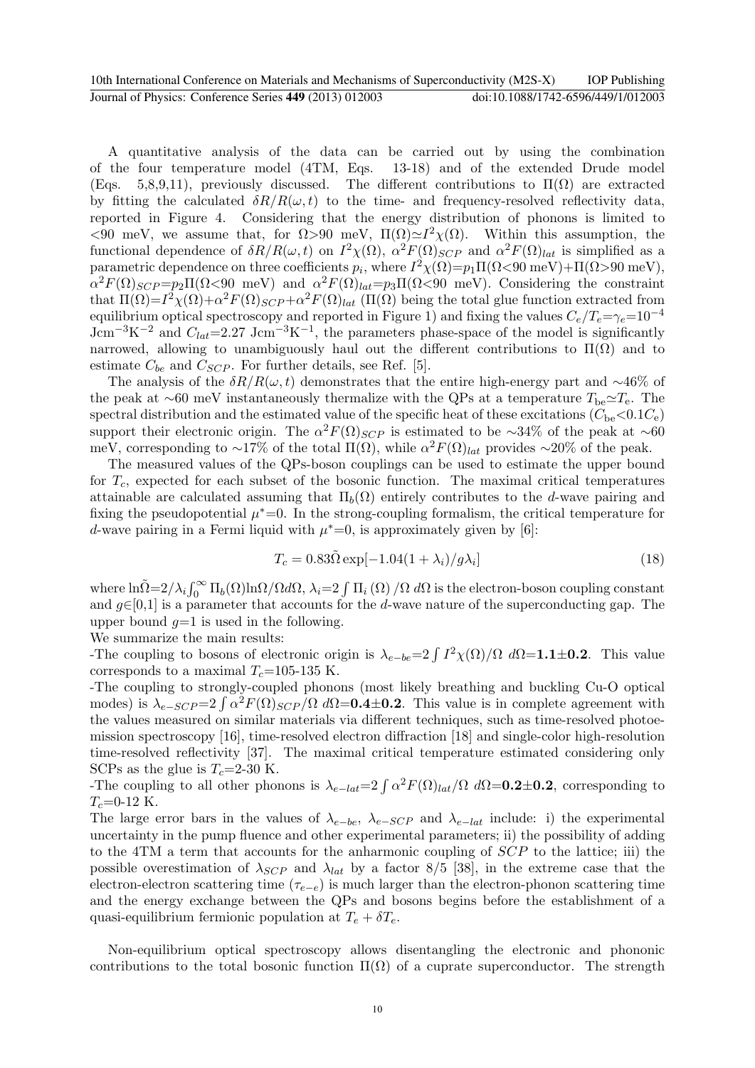A quantitative analysis of the data can be carried out by using the combination of the four temperature model (4TM, Eqs. 13-18) and of the extended Drude model (Eqs. 5,8,9,11), previously discussed. The different contributions to  $\Pi(\Omega)$  are extracted by fitting the calculated  $\delta R/R(\omega, t)$  to the time- and frequency-resolved reflectivity data, reported in Figure 4. Considering that the energy distribution of phonons is limited to  $\langle 90 \text{ meV}, \text{ we assume that, for } \Omega > 90 \text{ meV}, \Pi(\Omega) \simeq I^2 \chi(\Omega)$ . Within this assumption, the functional dependence of  $\delta R/R(\omega, t)$  on  $I^2\chi(\Omega)$ ,  $\alpha^2F(\Omega)_{SCP}$  and  $\alpha^2F(\Omega)_{lat}$  is simplified as a parametric dependence on three coefficients  $p_i$ , where  $I^2\chi(\Omega) = p_1 \Pi(\Omega \le 90 \text{ meV}) + \Pi(\Omega > 90 \text{ meV})$ ,  $\alpha^2 F(\Omega)_{SCP} = p_2 \Pi(\Omega \le 90 \text{ meV})$  and  $\alpha^2 F(\Omega)_{lat} = p_3 \Pi(\Omega \le 90 \text{ meV})$ . Considering the constraint that  $\Pi(\Omega) = I^2 \chi(\Omega) + \alpha^2 F(\Omega)_{SCP} + \alpha^2 F(\Omega)_{lat}$  ( $\Pi(\Omega)$ ) being the total glue function extracted from equilibrium optical spectroscopy and reported in Figure 1) and fixing the values  $C_e/T_e=\gamma_e=10^{-4}$ Jcm<sup>-3</sup>K<sup>-2</sup> and  $C_{lat}$ =2.27 Jcm<sup>-3</sup>K<sup>-1</sup>, the parameters phase-space of the model is significantly narrowed, allowing to unambiguously haul out the different contributions to  $\Pi(\Omega)$  and to estimate  $C_{be}$  and  $C_{SCP}$ . For further details, see Ref. [5].

The analysis of the  $\delta R/R(\omega, t)$  demonstrates that the entire high-energy part and ~46% of the peak at ∼60 meV instantaneously thermalize with the QPs at a temperature  $T_{\text{be}} \simeq T_{\text{e}}$ . The spectral distribution and the estimated value of the specific heat of these excitations  $(C_{\text{be}} < 0.1C_{\text{e}})$ support their electronic origin. The  $\alpha^2 F(\Omega)_{SCP}$  is estimated to be ~34% of the peak at ~60 meV, corresponding to ~17% of the total  $\Pi(\Omega)$ , while  $\alpha^2 F(\Omega)_{lat}$  provides ~20% of the peak.

The measured values of the QPs-boson couplings can be used to estimate the upper bound for  $T_c$ , expected for each subset of the bosonic function. The maximal critical temperatures attainable are calculated assuming that  $\Pi_b(\Omega)$  entirely contributes to the d-wave pairing and fixing the pseudopotential  $\mu^*=0$ . In the strong-coupling formalism, the critical temperature for d-wave pairing in a Fermi liquid with  $\mu^*=0$ , is approximately given by [6]:

$$
T_c = 0.83\tilde{\Omega} \exp[-1.04(1+\lambda_i)/g\lambda_i]
$$
\n(18)

where  $\ln \tilde{\Omega} = 2/\lambda_i \int_0^\infty \Pi_b(\Omega) \ln \Omega / \Omega d\Omega$ ,  $\lambda_i = 2 \int \Pi_i(\Omega) / \Omega d\Omega$  is the electron-boson coupling constant and  $g\in[0,1]$  is a parameter that accounts for the d-wave nature of the superconducting gap. The upper bound  $q=1$  is used in the following.

We summarize the main results:

The coupling to bosons of electronic origin is  $\lambda_{e-be} = 2 \int I^2 \chi(\Omega)/\Omega \, d\Omega = 1.1 \pm 0.2$ . This value corresponds to a maximal  $T_c$ =105-135 K.

-The coupling to strongly-coupled phonons (most likely breathing and buckling Cu-O optical modes) is  $\lambda_{e-SCP} = 2 \int \alpha^2 F(\Omega)_{SCP} / \Omega \, d\Omega = 0.4 \pm 0.2$ . This value is in complete agreement with the values measured on similar materials via different techniques, such as time-resolved photoemission spectroscopy [16], time-resolved electron diffraction [18] and single-color high-resolution time-resolved reflectivity [37]. The maximal critical temperature estimated considering only SCPs as the glue is  $T_c=2-30$  K.

The coupling to all other phonons is  $\lambda_{e-lat} = 2 \int \alpha^2 F(\Omega)_{lat}/\Omega \, d\Omega = 0.2 \pm 0.2$ , corresponding to  $T_c$ =0-12 K.

The large error bars in the values of  $\lambda_{e-be}$ ,  $\lambda_{e-SCP}$  and  $\lambda_{e-lat}$  include: i) the experimental uncertainty in the pump fluence and other experimental parameters; ii) the possibility of adding to the 4TM a term that accounts for the anharmonic coupling of SCP to the lattice; iii) the possible overestimation of  $\lambda_{SCP}$  and  $\lambda_{lat}$  by a factor 8/5 [38], in the extreme case that the electron-electron scattering time ( $\tau_{e-e}$ ) is much larger than the electron-phonon scattering time and the energy exchange between the QPs and bosons begins before the establishment of a quasi-equilibrium fermionic population at  $T_e + \delta T_e$ .

Non-equilibrium optical spectroscopy allows disentangling the electronic and phononic contributions to the total bosonic function  $\Pi(\Omega)$  of a cuprate superconductor. The strength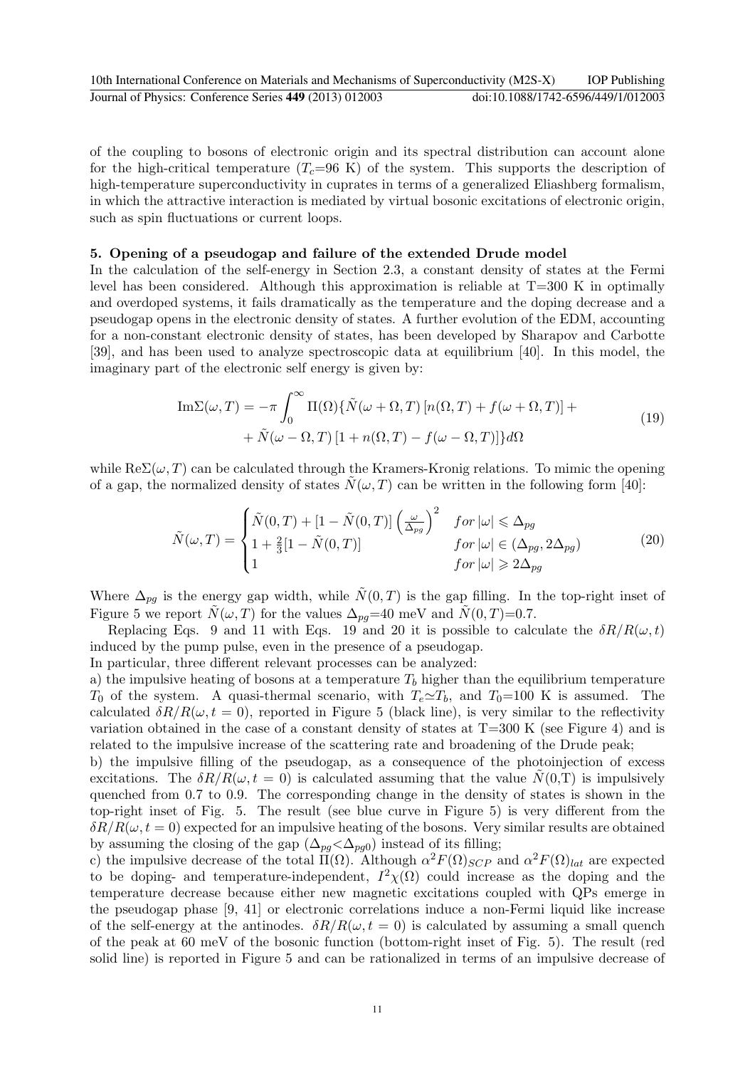of the coupling to bosons of electronic origin and its spectral distribution can account alone for the high-critical temperature  $(T_c=96 \text{ K})$  of the system. This supports the description of high-temperature superconductivity in cuprates in terms of a generalized Eliashberg formalism, in which the attractive interaction is mediated by virtual bosonic excitations of electronic origin, such as spin fluctuations or current loops.

## 5. Opening of a pseudogap and failure of the extended Drude model

In the calculation of the self-energy in Section 2.3, a constant density of states at the Fermi level has been considered. Although this approximation is reliable at T=300 K in optimally and overdoped systems, it fails dramatically as the temperature and the doping decrease and a pseudogap opens in the electronic density of states. A further evolution of the EDM, accounting for a non-constant electronic density of states, has been developed by Sharapov and Carbotte [39], and has been used to analyze spectroscopic data at equilibrium [40]. In this model, the imaginary part of the electronic self energy is given by:

$$
\mathrm{Im}\Sigma(\omega,T) = -\pi \int_0^\infty \Pi(\Omega)\{\tilde{N}(\omega+\Omega,T)\left[n(\Omega,T)+f(\omega+\Omega,T)\right]++\tilde{N}(\omega-\Omega,T)\left[1+n(\Omega,T)-f(\omega-\Omega,T)\right]\}d\Omega\tag{19}
$$

while  $\text{Re}\Sigma(\omega,T)$  can be calculated through the Kramers-Kronig relations. To mimic the opening of a gap, the normalized density of states  $\tilde{N}(\omega, T)$  can be written in the following form [40]:

$$
\tilde{N}(\omega, T) = \begin{cases}\n\tilde{N}(0, T) + \left[1 - \tilde{N}(0, T)\right] \left(\frac{\omega}{\Delta_{pg}}\right)^2 & \text{for } |\omega| \leq \Delta_{pg} \\
1 + \frac{2}{3} \left[1 - \tilde{N}(0, T)\right] & \text{for } |\omega| \in (\Delta_{pg}, 2\Delta_{pg}) \\
1 & \text{for } |\omega| \geqslant 2\Delta_{pg}\n\end{cases}
$$
\n(20)

Where  $\Delta_{pq}$  is the energy gap width, while  $\tilde{N}(0,T)$  is the gap filling. In the top-right inset of Figure 5 we report  $\tilde{N}(\omega, T)$  for the values  $\Delta_{pq}=40$  meV and  $\tilde{N}(0, T)=0.7$ .

Replacing Eqs. 9 and 11 with Eqs. 19 and 20 it is possible to calculate the  $\delta R/R(\omega, t)$ induced by the pump pulse, even in the presence of a pseudogap.

In particular, three different relevant processes can be analyzed:

a) the impulsive heating of bosons at a temperature  $T<sub>b</sub>$  higher than the equilibrium temperature  $T_0$  of the system. A quasi-thermal scenario, with  $T_e \simeq T_b$ , and  $T_0=100$  K is assumed. The calculated  $\delta R/R(\omega, t = 0)$ , reported in Figure 5 (black line), is very similar to the reflectivity variation obtained in the case of a constant density of states at  $T=300$  K (see Figure 4) and is related to the impulsive increase of the scattering rate and broadening of the Drude peak;

b) the impulsive filling of the pseudogap, as a consequence of the photoinjection of excess excitations. The  $\delta R/R(\omega, t = 0)$  is calculated assuming that the value  $N(0,T)$  is impulsively quenched from 0.7 to 0.9. The corresponding change in the density of states is shown in the top-right inset of Fig. 5. The result (see blue curve in Figure 5) is very different from the  $\delta R/R(\omega, t=0)$  expected for an impulsive heating of the bosons. Very similar results are obtained by assuming the closing of the gap  $(\Delta_{pg} < \Delta_{pg0})$  instead of its filling;

c) the impulsive decrease of the total  $\Pi(\Omega)$ . Although  $\alpha^2 F(\Omega)_{SCP}$  and  $\alpha^2 F(\Omega)_{lat}$  are expected to be doping- and temperature-independent,  $I^2\chi(\Omega)$  could increase as the doping and the temperature decrease because either new magnetic excitations coupled with QPs emerge in the pseudogap phase [9, 41] or electronic correlations induce a non-Fermi liquid like increase of the self-energy at the antinodes.  $\delta R/R(\omega, t = 0)$  is calculated by assuming a small quench of the peak at 60 meV of the bosonic function (bottom-right inset of Fig. 5). The result (red solid line) is reported in Figure 5 and can be rationalized in terms of an impulsive decrease of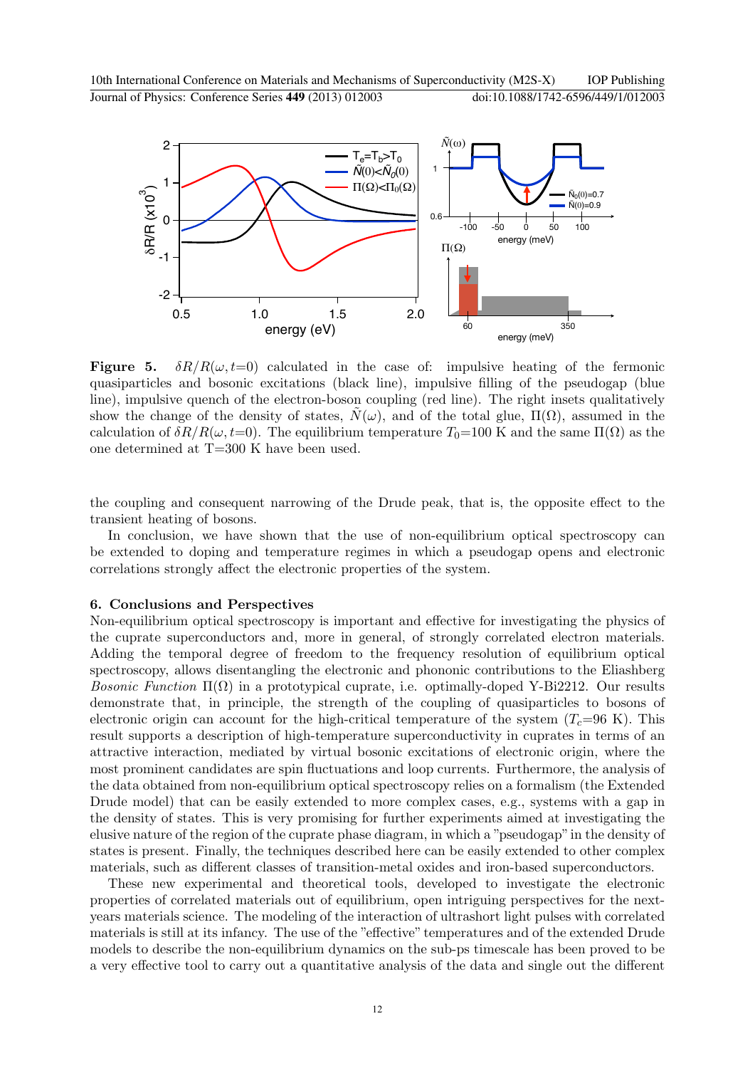

**Figure 5.**  $\delta R/R(\omega, t=0)$  calculated in the case of: impulsive heating of the fermonic quasiparticles and bosonic excitations (black line), impulsive filling of the pseudogap (blue line), impulsive quench of the electron-boson coupling (red line). The right insets qualitatively show the change of the density of states,  $N(\omega)$ , and of the total glue,  $\Pi(\Omega)$ , assumed in the calculation of  $\delta R/R(\omega, t=0)$ . The equilibrium temperature  $T_0=100$  K and the same  $\Pi(\Omega)$  as the one determined at T=300 K have been used.

the coupling and consequent narrowing of the Drude peak, that is, the opposite effect to the transient heating of bosons.

In conclusion, we have shown that the use of non-equilibrium optical spectroscopy can be extended to doping and temperature regimes in which a pseudogap opens and electronic correlations strongly affect the electronic properties of the system.

## 6. Conclusions and Perspectives

Non-equilibrium optical spectroscopy is important and effective for investigating the physics of the cuprate superconductors and, more in general, of strongly correlated electron materials. Adding the temporal degree of freedom to the frequency resolution of equilibrium optical spectroscopy, allows disentangling the electronic and phononic contributions to the Eliashberg Bosonic Function  $\Pi(\Omega)$  in a prototypical cuprate, i.e. optimally-doped Y-Bi2212. Our results demonstrate that, in principle, the strength of the coupling of quasiparticles to bosons of electronic origin can account for the high-critical temperature of the system  $(T_c=96 \text{ K})$ . This result supports a description of high-temperature superconductivity in cuprates in terms of an attractive interaction, mediated by virtual bosonic excitations of electronic origin, where the most prominent candidates are spin fluctuations and loop currents. Furthermore, the analysis of the data obtained from non-equilibrium optical spectroscopy relies on a formalism (the Extended Drude model) that can be easily extended to more complex cases, e.g., systems with a gap in the density of states. This is very promising for further experiments aimed at investigating the elusive nature of the region of the cuprate phase diagram, in which a "pseudogap"in the density of states is present. Finally, the techniques described here can be easily extended to other complex materials, such as different classes of transition-metal oxides and iron-based superconductors.

These new experimental and theoretical tools, developed to investigate the electronic properties of correlated materials out of equilibrium, open intriguing perspectives for the nextyears materials science. The modeling of the interaction of ultrashort light pulses with correlated materials is still at its infancy. The use of the "effective" temperatures and of the extended Drude models to describe the non-equilibrium dynamics on the sub-ps timescale has been proved to be a very effective tool to carry out a quantitative analysis of the data and single out the different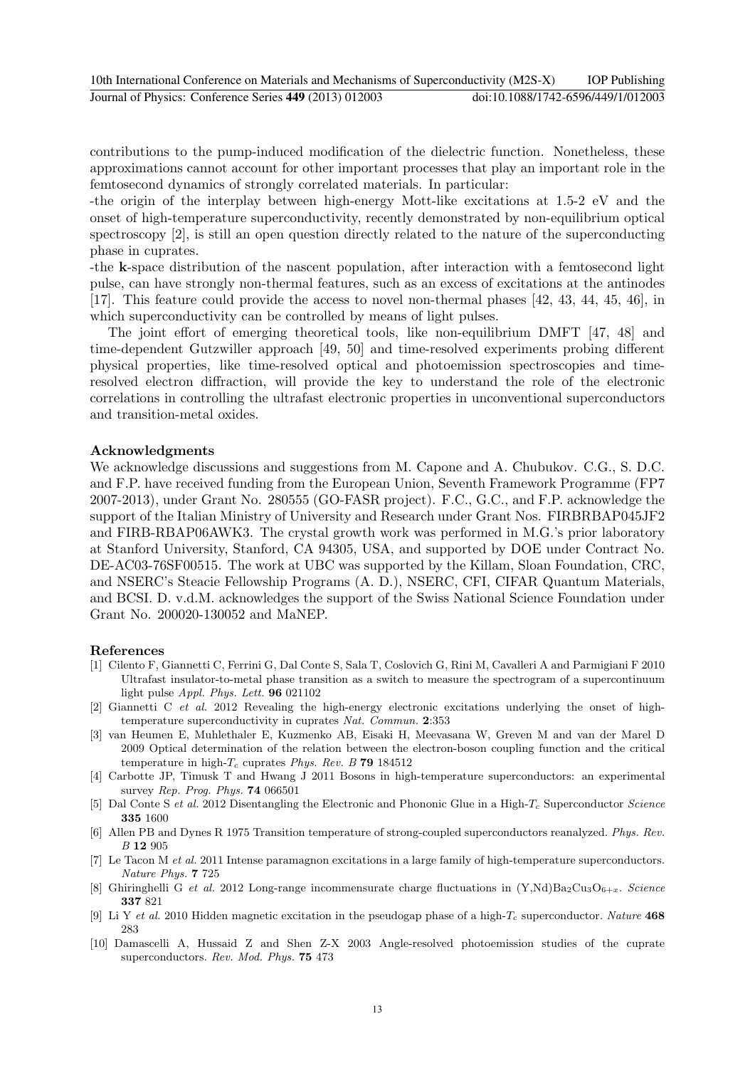contributions to the pump-induced modification of the dielectric function. Nonetheless, these approximations cannot account for other important processes that play an important role in the femtosecond dynamics of strongly correlated materials. In particular:

-the origin of the interplay between high-energy Mott-like excitations at 1.5-2 eV and the onset of high-temperature superconductivity, recently demonstrated by non-equilibrium optical spectroscopy [2], is still an open question directly related to the nature of the superconducting phase in cuprates.

-the k-space distribution of the nascent population, after interaction with a femtosecond light pulse, can have strongly non-thermal features, such as an excess of excitations at the antinodes [17]. This feature could provide the access to novel non-thermal phases [42, 43, 44, 45, 46], in which superconductivity can be controlled by means of light pulses.

The joint effort of emerging theoretical tools, like non-equilibrium DMFT [47, 48] and time-dependent Gutzwiller approach [49, 50] and time-resolved experiments probing different physical properties, like time-resolved optical and photoemission spectroscopies and timeresolved electron diffraction, will provide the key to understand the role of the electronic correlations in controlling the ultrafast electronic properties in unconventional superconductors and transition-metal oxides.

## Acknowledgments

We acknowledge discussions and suggestions from M. Capone and A. Chubukov. C.G., S. D.C. and F.P. have received funding from the European Union, Seventh Framework Programme (FP7 2007-2013), under Grant No. 280555 (GO-FASR project). F.C., G.C., and F.P. acknowledge the support of the Italian Ministry of University and Research under Grant Nos. FIRBRBAP045JF2 and FIRB-RBAP06AWK3. The crystal growth work was performed in M.G.'s prior laboratory at Stanford University, Stanford, CA 94305, USA, and supported by DOE under Contract No. DE-AC03-76SF00515. The work at UBC was supported by the Killam, Sloan Foundation, CRC, and NSERC's Steacie Fellowship Programs (A. D.), NSERC, CFI, CIFAR Quantum Materials, and BCSI. D. v.d.M. acknowledges the support of the Swiss National Science Foundation under Grant No. 200020-130052 and MaNEP.

## References

- [1] Cilento F, Giannetti C, Ferrini G, Dal Conte S, Sala T, Coslovich G, Rini M, Cavalleri A and Parmigiani F 2010 Ultrafast insulator-to-metal phase transition as a switch to measure the spectrogram of a supercontinuum light pulse Appl. Phys. Lett. 96 021102
- [2] Giannetti C et al. 2012 Revealing the high-energy electronic excitations underlying the onset of hightemperature superconductivity in cuprates Nat. Commun. 2:353
- [3] van Heumen E, Muhlethaler E, Kuzmenko AB, Eisaki H, Meevasana W, Greven M and van der Marel D 2009 Optical determination of the relation between the electron-boson coupling function and the critical temperature in high- $T_c$  cuprates Phys. Rev. B 79 184512
- [4] Carbotte JP, Timusk T and Hwang J 2011 Bosons in high-temperature superconductors: an experimental survey Rep. Prog. Phys. 74 066501
- [5] Dal Conte S et al. 2012 Disentangling the Electronic and Phononic Glue in a High- $T_c$  Superconductor Science 335 1600
- [6] Allen PB and Dynes R 1975 Transition temperature of strong-coupled superconductors reanalyzed. Phys. Rev. B 12 905
- [7] Le Tacon M et al. 2011 Intense paramagnon excitations in a large family of high-temperature superconductors. Nature Phys. **7** 725
- [8] Ghiringhelli G et al. 2012 Long-range incommensurate charge fluctuations in  $(Y,Nd)Ba_2Cu_3O_{6+x}$ . Science 337 821
- [9] Li Y et al. 2010 Hidden magnetic excitation in the pseudogap phase of a high- $T_c$  superconductor. Nature 468 283
- [10] Damascelli A, Hussaid Z and Shen Z-X 2003 Angle-resolved photoemission studies of the cuprate superconductors. Rev. Mod. Phys. 75 473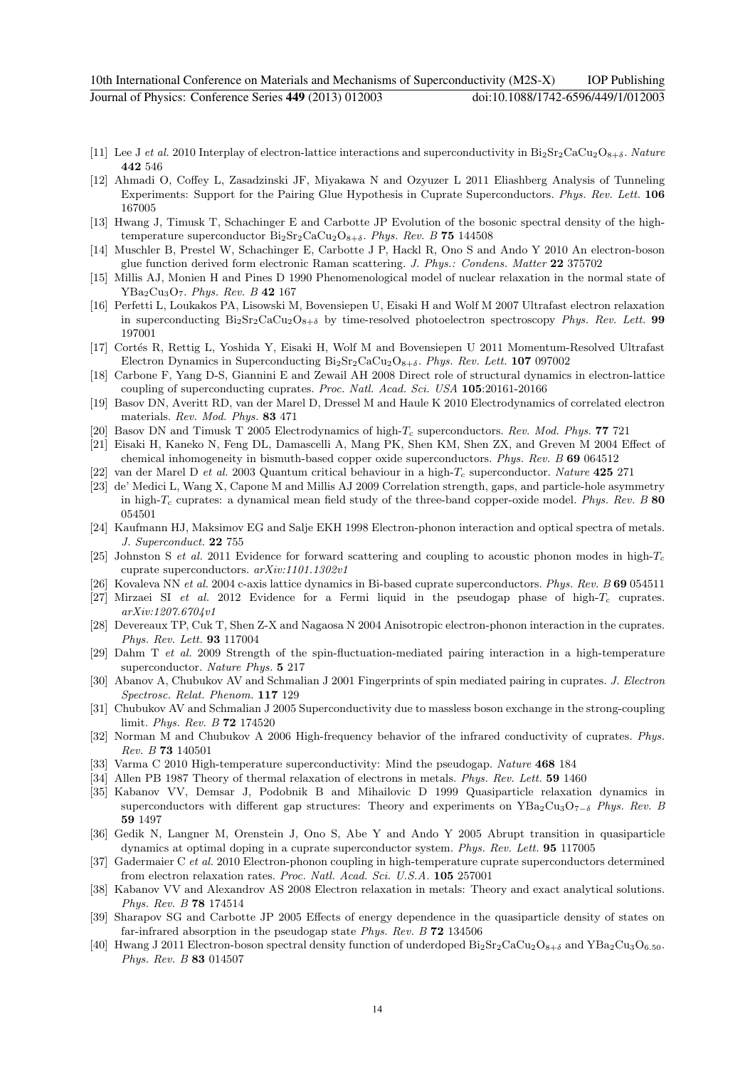- [11] Lee J et al. 2010 Interplay of electron-lattice interactions and superconductivity in  $Bi_2Sr_2CaCu_2O_{8+\delta}$ . Nature 442 546
- [12] Ahmadi O, Coffey L, Zasadzinski JF, Miyakawa N and Ozyuzer L 2011 Eliashberg Analysis of Tunneling Experiments: Support for the Pairing Glue Hypothesis in Cuprate Superconductors. Phys. Rev. Lett. 106 167005
- [13] Hwang J, Timusk T, Schachinger E and Carbotte JP Evolution of the bosonic spectral density of the hightemperature superconductor  $Bi_2Sr_2CaCu_2O_{8+\delta}$ . Phys. Rev. B 75 144508
- [14] Muschler B, Prestel W, Schachinger E, Carbotte J P, Hackl R, Ono S and Ando Y 2010 An electron-boson glue function derived form electronic Raman scattering. J. Phys.: Condens. Matter 22 375702
- [15] Millis AJ, Monien H and Pines D 1990 Phenomenological model of nuclear relaxation in the normal state of  $YBa<sub>2</sub>Cu<sub>3</sub>O<sub>7</sub>$ . Phys. Rev. B 42 167
- [16] Perfetti L, Loukakos PA, Lisowski M, Bovensiepen U, Eisaki H and Wolf M 2007 Ultrafast electron relaxation in superconducting  $Bi_2Sr_2CaCu_2O_{8+\delta}$  by time-resolved photoelectron spectroscopy Phys. Rev. Lett. 99 197001
- [17] Cortés R, Rettig L, Yoshida Y, Eisaki H, Wolf M and Bovensiepen U 2011 Momentum-Resolved Ultrafast Electron Dynamics in Superconducting  $Bi_2Sr_2CaCu_2O_{8+\delta}$ . Phys. Rev. Lett. 107 097002
- [18] Carbone F, Yang D-S, Giannini E and Zewail AH 2008 Direct role of structural dynamics in electron-lattice coupling of superconducting cuprates. Proc. Natl. Acad. Sci. USA 105:20161-20166
- [19] Basov DN, Averitt RD, van der Marel D, Dressel M and Haule K 2010 Electrodynamics of correlated electron materials. Rev. Mod. Phys. 83 471
- [20] Basov DN and Timusk T 2005 Electrodynamics of high-T<sub>c</sub> superconductors. Rev. Mod. Phys. **77** 721
- [21] Eisaki H, Kaneko N, Feng DL, Damascelli A, Mang PK, Shen KM, Shen ZX, and Greven M 2004 Effect of chemical inhomogeneity in bismuth-based copper oxide superconductors. Phys. Rev. B 69 064512
- [22] van der Marel D et al. 2003 Quantum critical behaviour in a high- $T_c$  superconductor. Nature 425 271
- [23] de' Medici L, Wang X, Capone M and Millis AJ 2009 Correlation strength, gaps, and particle-hole asymmetry in high- $T_c$  cuprates: a dynamical mean field study of the three-band copper-oxide model. Phys. Rev. B 80 054501
- [24] Kaufmann HJ, Maksimov EG and Salje EKH 1998 Electron-phonon interaction and optical spectra of metals. J. Superconduct. 22 755
- [25] Johnston S et al. 2011 Evidence for forward scattering and coupling to acoustic phonon modes in high- $T_c$ cuprate superconductors. arXiv:1101.1302v1
- [26] Kovaleva NN et al. 2004 c-axis lattice dynamics in Bi-based cuprate superconductors. Phys. Rev. B 69 054511
- [27] Mirzaei SI et al. 2012 Evidence for a Fermi liquid in the pseudogap phase of high- $T_c$  cuprates. arXiv:1207.6704v1
- [28] Devereaux TP, Cuk T, Shen Z-X and Nagaosa N 2004 Anisotropic electron-phonon interaction in the cuprates. Phys. Rev. Lett. 93 117004
- [29] Dahm T et al. 2009 Strength of the spin-fluctuation-mediated pairing interaction in a high-temperature superconductor. Nature Phys. 5 217
- [30] Abanov A, Chubukov AV and Schmalian J 2001 Fingerprints of spin mediated pairing in cuprates. J. Electron Spectrosc. Relat. Phenom. 117 129
- [31] Chubukov AV and Schmalian J 2005 Superconductivity due to massless boson exchange in the strong-coupling limit. Phys. Rev. B 72 174520
- [32] Norman M and Chubukov A 2006 High-frequency behavior of the infrared conductivity of cuprates. Phys. Rev. B 73 140501
- [33] Varma C 2010 High-temperature superconductivity: Mind the pseudogap. Nature 468 184
- [34] Allen PB 1987 Theory of thermal relaxation of electrons in metals. *Phys. Rev. Lett.* **59** 1460
- [35] Kabanov VV, Demsar J, Podobnik B and Mihailovic D 1999 Quasiparticle relaxation dynamics in superconductors with different gap structures: Theory and experiments on YBa<sub>2</sub>Cu<sub>3</sub>O<sub>7−δ</sub> Phys. Rev. B 59 1497
- [36] Gedik N, Langner M, Orenstein J, Ono S, Abe Y and Ando Y 2005 Abrupt transition in quasiparticle dynamics at optimal doping in a cuprate superconductor system. Phys. Rev. Lett. 95 117005
- [37] Gadermaier C et al. 2010 Electron-phonon coupling in high-temperature cuprate superconductors determined from electron relaxation rates. Proc. Natl. Acad. Sci. U.S.A. 105 257001
- [38] Kabanov VV and Alexandrov AS 2008 Electron relaxation in metals: Theory and exact analytical solutions. Phys. Rev. B 78 174514
- [39] Sharapov SG and Carbotte JP 2005 Effects of energy dependence in the quasiparticle density of states on far-infrared absorption in the pseudogap state Phys. Rev. B 72 134506
- [40] Hwang J 2011 Electron-boson spectral density function of underdoped  $Bi_2Sr_2CaCu_2O_{8+\delta}$  and  $YBa_2Cu_3O_{6.50}$ . Phys. Rev. B 83 014507